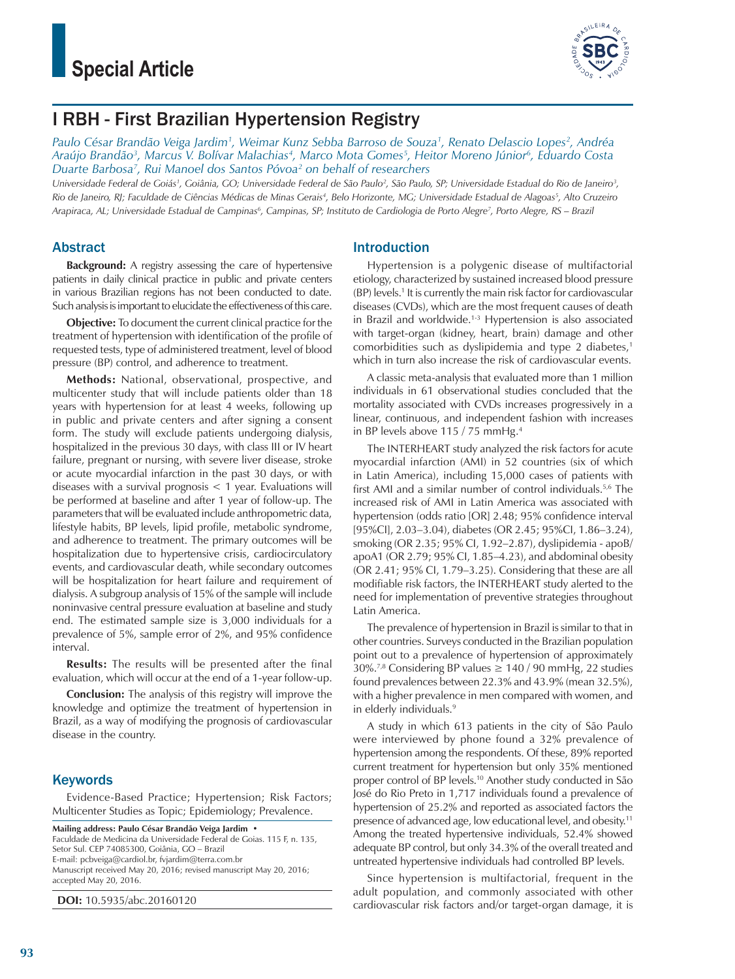

# I RBH - First Brazilian Hypertension Registry

*Paulo César Brandão Veiga Jardim1 , Weimar Kunz Sebba Barroso de Souza1 , Renato Delascio Lopes2 , Andréa Araújo Brandão3 , Marcus V. Bolívar Malachias4 , Marco Mota Gomes5 , Heitor Moreno Júnior6 , Eduardo Costa Duarte Barbosa7 , Rui Manoel dos Santos Póvoa2 on behalf of researchers*

Universidade Federal de Goiás<sup>1</sup>, Goiânia, GO; Universidade Federal de São Paulo<sup>2</sup>, São Paulo, SP; Universidade Estadual do Rio de Janeiro<sup>3</sup>, *Rio de Janeiro, RJ; Faculdade de Ciências Médicas de Minas Gerais4 , Belo Horizonte, MG; Universidade Estadual de Alagoas5 , Alto Cruzeiro*  Arapiraca, AL; Universidade Estadual de Campinas<sup>6</sup>, Campinas, SP; Instituto de Cardiologia de Porto Alegre<sup>7</sup>, Porto Alegre, RS – Brazil

# Abstract

**Background:** A registry assessing the care of hypertensive patients in daily clinical practice in public and private centers in various Brazilian regions has not been conducted to date. Such analysis is important to elucidate the effectiveness of this care.

**Objective:** To document the current clinical practice for the treatment of hypertension with identification of the profile of requested tests, type of administered treatment, level of blood pressure (BP) control, and adherence to treatment.

**Methods:** National, observational, prospective, and multicenter study that will include patients older than 18 years with hypertension for at least 4 weeks, following up in public and private centers and after signing a consent form. The study will exclude patients undergoing dialysis, hospitalized in the previous 30 days, with class III or IV heart failure, pregnant or nursing, with severe liver disease, stroke or acute myocardial infarction in the past 30 days, or with diseases with a survival prognosis < 1 year. Evaluations will be performed at baseline and after 1 year of follow-up. The parameters that will be evaluated include anthropometric data, lifestyle habits, BP levels, lipid profile, metabolic syndrome, and adherence to treatment. The primary outcomes will be hospitalization due to hypertensive crisis, cardiocirculatory events, and cardiovascular death, while secondary outcomes will be hospitalization for heart failure and requirement of dialysis. A subgroup analysis of 15% of the sample will include noninvasive central pressure evaluation at baseline and study end. The estimated sample size is 3,000 individuals for a prevalence of 5%, sample error of 2%, and 95% confidence interval.

**Results:** The results will be presented after the final evaluation, which will occur at the end of a 1-year follow-up.

**Conclusion:** The analysis of this registry will improve the knowledge and optimize the treatment of hypertension in Brazil, as a way of modifying the prognosis of cardiovascular disease in the country.

## **Keywords**

Evidence-Based Practice; Hypertension; Risk Factors; Multicenter Studies as Topic; Epidemiology; Prevalence.

**Mailing address: Paulo César Brandão Veiga Jardim •**

Faculdade de Medicina da Universidade Federal de Goias. 115 F, n. 135, Setor Sul. CEP 74085300, Goiânia, GO – Brazil E-mail: pcbveiga@cardiol.br, fvjardim@terra.com.br Manuscript received May 20, 2016; revised manuscript May 20, 2016; accepted May 20, 2016.

**DOI:** 10.5935/abc.20160120

# Introduction

Hypertension is a polygenic disease of multifactorial etiology, characterized by sustained increased blood pressure (BP) levels.<sup>1</sup> It is currently the main risk factor for cardiovascular diseases (CVDs), which are the most frequent causes of death in Brazil and worldwide.<sup>1-3</sup> Hypertension is also associated with target-organ (kidney, heart, brain) damage and other comorbidities such as dyslipidemia and type 2 diabetes,<sup>1</sup> which in turn also increase the risk of cardiovascular events.

A classic meta-analysis that evaluated more than 1 million individuals in 61 observational studies concluded that the mortality associated with CVDs increases progressively in a linear, continuous, and independent fashion with increases in BP levels above 115 / 75 mmHg.<sup>4</sup>

The INTERHEART study analyzed the risk factors for acute myocardial infarction (AMI) in 52 countries (six of which in Latin America), including 15,000 cases of patients with first AMI and a similar number of control individuals.5,6 The increased risk of AMI in Latin America was associated with hypertension (odds ratio [OR] 2.48; 95% confidence interval [95%CI], 2.03–3.04), diabetes (OR 2.45; 95%CI, 1.86–3.24), smoking (OR 2.35; 95% CI, 1.92–2.87), dyslipidemia - apoB/ apoA1 (OR 2.79; 95% CI, 1.85–4.23), and abdominal obesity (OR 2.41; 95% CI, 1.79–3.25). Considering that these are all modifiable risk factors, the INTERHEART study alerted to the need for implementation of preventive strategies throughout Latin America.

The prevalence of hypertension in Brazil is similar to that in other countries. Surveys conducted in the Brazilian population point out to a prevalence of hypertension of approximately 30%.<sup>7,8</sup> Considering BP values  $\geq 140/90$  mmHg, 22 studies found prevalences between 22.3% and 43.9% (mean 32.5%), with a higher prevalence in men compared with women, and in elderly individuals.9

A study in which 613 patients in the city of São Paulo were interviewed by phone found a 32% prevalence of hypertension among the respondents. Of these, 89% reported current treatment for hypertension but only 35% mentioned proper control of BP levels.10 Another study conducted in São José do Rio Preto in 1,717 individuals found a prevalence of hypertension of 25.2% and reported as associated factors the presence of advanced age, low educational level, and obesity.11 Among the treated hypertensive individuals, 52.4% showed adequate BP control, but only 34.3% of the overall treated and untreated hypertensive individuals had controlled BP levels.

Since hypertension is multifactorial, frequent in the adult population, and commonly associated with other cardiovascular risk factors and/or target-organ damage, it is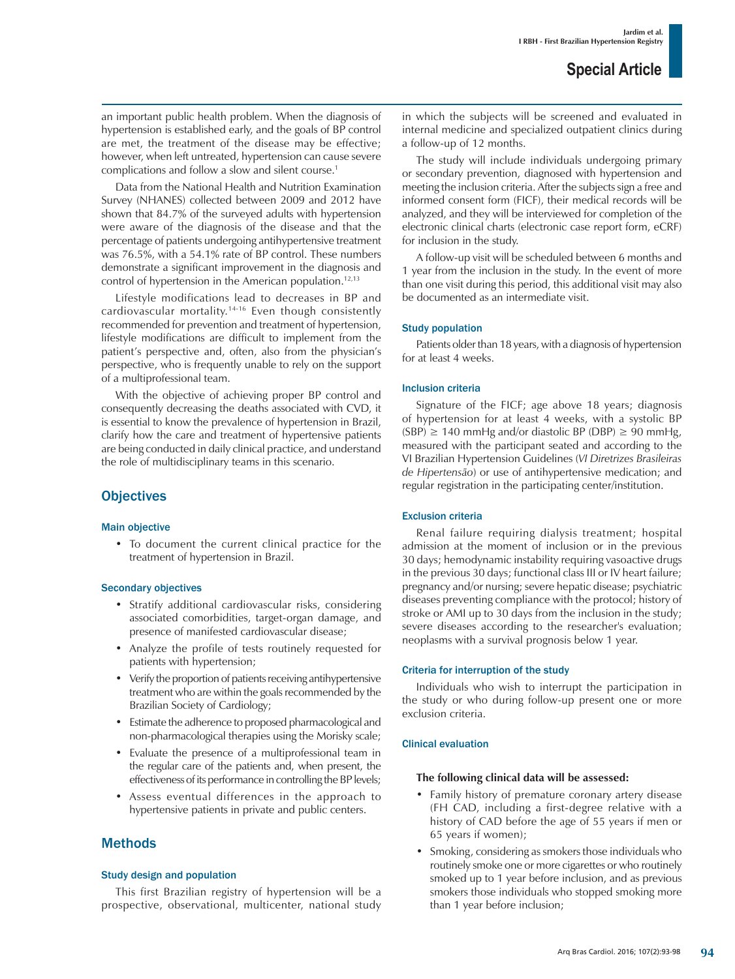an important public health problem. When the diagnosis of hypertension is established early, and the goals of BP control are met, the treatment of the disease may be effective; however, when left untreated, hypertension can cause severe complications and follow a slow and silent course.1

Data from the National Health and Nutrition Examination Survey (NHANES) collected between 2009 and 2012 have shown that 84.7% of the surveyed adults with hypertension were aware of the diagnosis of the disease and that the percentage of patients undergoing antihypertensive treatment was 76.5%, with a 54.1% rate of BP control. These numbers demonstrate a significant improvement in the diagnosis and control of hypertension in the American population.<sup>12,13</sup>

Lifestyle modifications lead to decreases in BP and cardiovascular mortality.14-16 Even though consistently recommended for prevention and treatment of hypertension, lifestyle modifications are difficult to implement from the patient's perspective and, often, also from the physician's perspective, who is frequently unable to rely on the support of a multiprofessional team.

With the objective of achieving proper BP control and consequently decreasing the deaths associated with CVD, it is essential to know the prevalence of hypertension in Brazil, clarify how the care and treatment of hypertensive patients are being conducted in daily clinical practice, and understand the role of multidisciplinary teams in this scenario.

# **Objectives**

#### Main objective

• To document the current clinical practice for the treatment of hypertension in Brazil.

#### Secondary objectives

- Stratify additional cardiovascular risks, considering associated comorbidities, target-organ damage, and presence of manifested cardiovascular disease;
- Analyze the profile of tests routinely requested for patients with hypertension;
- Verify the proportion of patients receiving antihypertensive treatment who are within the goals recommended by the Brazilian Society of Cardiology;
- Estimate the adherence to proposed pharmacological and non-pharmacological therapies using the Morisky scale;
- Evaluate the presence of a multiprofessional team in the regular care of the patients and, when present, the effectiveness of its performance in controlling the BP levels;
- Assess eventual differences in the approach to hypertensive patients in private and public centers.

# Methods

#### Study design and population

This first Brazilian registry of hypertension will be a prospective, observational, multicenter, national study in which the subjects will be screened and evaluated in internal medicine and specialized outpatient clinics during a follow-up of 12 months.

The study will include individuals undergoing primary or secondary prevention, diagnosed with hypertension and meeting the inclusion criteria. After the subjects sign a free and informed consent form (FICF), their medical records will be analyzed, and they will be interviewed for completion of the electronic clinical charts (electronic case report form, eCRF) for inclusion in the study.

A follow-up visit will be scheduled between 6 months and 1 year from the inclusion in the study. In the event of more than one visit during this period, this additional visit may also be documented as an intermediate visit.

## Study population

Patients older than 18 years, with a diagnosis of hypertension for at least 4 weeks.

### Inclusion criteria

Signature of the FICF; age above 18 years; diagnosis of hypertension for at least 4 weeks, with a systolic BP  $(SBP) \ge 140$  mmHg and/or diastolic BP (DBP)  $\ge 90$  mmHg, measured with the participant seated and according to the VI Brazilian Hypertension Guidelines (*VI Diretrizes Brasileiras de Hipertensão*) or use of antihypertensive medication; and regular registration in the participating center/institution.

## Exclusion criteria

Renal failure requiring dialysis treatment; hospital admission at the moment of inclusion or in the previous 30 days; hemodynamic instability requiring vasoactive drugs in the previous 30 days; functional class III or IV heart failure; pregnancy and/or nursing; severe hepatic disease; psychiatric diseases preventing compliance with the protocol; history of stroke or AMI up to 30 days from the inclusion in the study; severe diseases according to the researcher's evaluation; neoplasms with a survival prognosis below 1 year.

#### Criteria for interruption of the study

Individuals who wish to interrupt the participation in the study or who during follow-up present one or more exclusion criteria.

## Clinical evaluation

### **The following clinical data will be assessed:**

- Family history of premature coronary artery disease (FH CAD, including a first-degree relative with a history of CAD before the age of 55 years if men or 65 years if women);
- Smoking, considering as smokers those individuals who routinely smoke one or more cigarettes or who routinely smoked up to 1 year before inclusion, and as previous smokers those individuals who stopped smoking more than 1 year before inclusion;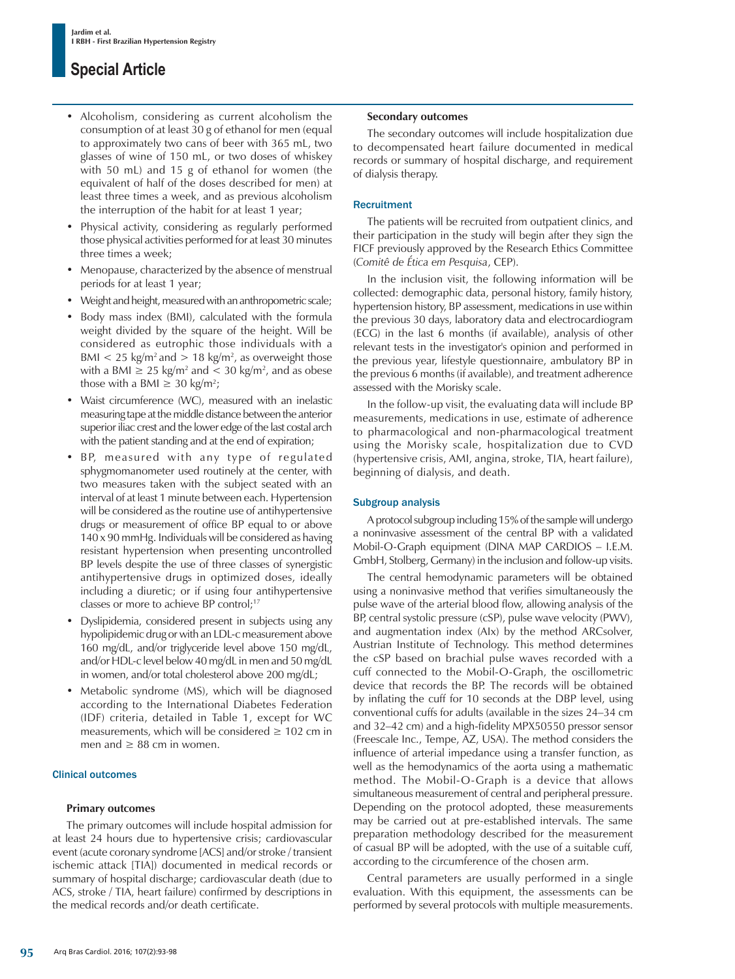- Alcoholism, considering as current alcoholism the consumption of at least 30 g of ethanol for men (equal to approximately two cans of beer with 365 mL, two glasses of wine of 150 mL, or two doses of whiskey with 50 mL) and 15 g of ethanol for women (the equivalent of half of the doses described for men) at least three times a week, and as previous alcoholism the interruption of the habit for at least 1 year;
- Physical activity, considering as regularly performed those physical activities performed for at least 30 minutes three times a week;
- Menopause, characterized by the absence of menstrual periods for at least 1 year;
- Weight and height, measured with an anthropometric scale;
- Body mass index (BMI), calculated with the formula weight divided by the square of the height. Will be considered as eutrophic those individuals with a BMI  $<$  25 kg/m<sup>2</sup> and  $> 18$  kg/m<sup>2</sup>, as overweight those with a BMI  $\geq 25$  kg/m<sup>2</sup> and  $\lt$  30 kg/m<sup>2</sup>, and as obese those with a BMI  $\geq 30$  kg/m<sup>2</sup>;
- Waist circumference (WC), measured with an inelastic measuring tape at the middle distance between the anterior superior iliac crest and the lower edge of the last costal arch with the patient standing and at the end of expiration;
- BP, measured with any type of regulated sphygmomanometer used routinely at the center, with two measures taken with the subject seated with an interval of at least 1 minute between each. Hypertension will be considered as the routine use of antihypertensive drugs or measurement of office BP equal to or above 140 x 90 mmHg. Individuals will be considered as having resistant hypertension when presenting uncontrolled BP levels despite the use of three classes of synergistic antihypertensive drugs in optimized doses, ideally including a diuretic; or if using four antihypertensive classes or more to achieve BP control;<sup>17</sup>
- Dyslipidemia, considered present in subjects using any hypolipidemic drug or with an LDL-c measurement above 160 mg/dL, and/or triglyceride level above 150 mg/dL, and/or HDL-c level below 40 mg/dL in men and 50 mg/dL in women, and/or total cholesterol above 200 mg/dL;
- Metabolic syndrome (MS), which will be diagnosed according to the International Diabetes Federation (IDF) criteria, detailed in Table 1, except for WC measurements, which will be considered  $\geq 102$  cm in men and  $\geq 88$  cm in women.

## Clinical outcomes

## **Primary outcomes**

The primary outcomes will include hospital admission for at least 24 hours due to hypertensive crisis; cardiovascular event (acute coronary syndrome [ACS] and/or stroke / transient ischemic attack [TIA]) documented in medical records or summary of hospital discharge; cardiovascular death (due to ACS, stroke / TIA, heart failure) confirmed by descriptions in the medical records and/or death certificate.

#### **Secondary outcomes**

The secondary outcomes will include hospitalization due to decompensated heart failure documented in medical records or summary of hospital discharge, and requirement of dialysis therapy.

### **Recruitment**

The patients will be recruited from outpatient clinics, and their participation in the study will begin after they sign the FICF previously approved by the Research Ethics Committee (*Comitê de Ética em Pesquisa*, CEP).

In the inclusion visit, the following information will be collected: demographic data, personal history, family history, hypertension history, BP assessment, medications in use within the previous 30 days, laboratory data and electrocardiogram (ECG) in the last 6 months (if available), analysis of other relevant tests in the investigator's opinion and performed in the previous year, lifestyle questionnaire, ambulatory BP in the previous 6 months (if available), and treatment adherence assessed with the Morisky scale.

In the follow-up visit, the evaluating data will include BP measurements, medications in use, estimate of adherence to pharmacological and non-pharmacological treatment using the Morisky scale, hospitalization due to CVD (hypertensive crisis, AMI, angina, stroke, TIA, heart failure), beginning of dialysis, and death.

## Subgroup analysis

A protocol subgroup including 15% of the sample will undergo a noninvasive assessment of the central BP with a validated Mobil-O-Graph equipment (DINA MAP CARDIOS – I.E.M. GmbH, Stolberg, Germany) in the inclusion and follow-up visits.

The central hemodynamic parameters will be obtained using a noninvasive method that verifies simultaneously the pulse wave of the arterial blood flow, allowing analysis of the BP, central systolic pressure (cSP), pulse wave velocity (PWV), and augmentation index (AIx) by the method ARCsolver, Austrian Institute of Technology. This method determines the cSP based on brachial pulse waves recorded with a cuff connected to the Mobil-O-Graph, the oscillometric device that records the BP. The records will be obtained by inflating the cuff for 10 seconds at the DBP level, using conventional cuffs for adults (available in the sizes 24–34 cm and 32–42 cm) and a high-fidelity MPX50550 pressor sensor (Freescale Inc., Tempe, AZ, USA). The method considers the influence of arterial impedance using a transfer function, as well as the hemodynamics of the aorta using a mathematic method. The Mobil-O-Graph is a device that allows simultaneous measurement of central and peripheral pressure. Depending on the protocol adopted, these measurements may be carried out at pre-established intervals. The same preparation methodology described for the measurement of casual BP will be adopted, with the use of a suitable cuff, according to the circumference of the chosen arm.

Central parameters are usually performed in a single evaluation. With this equipment, the assessments can be performed by several protocols with multiple measurements.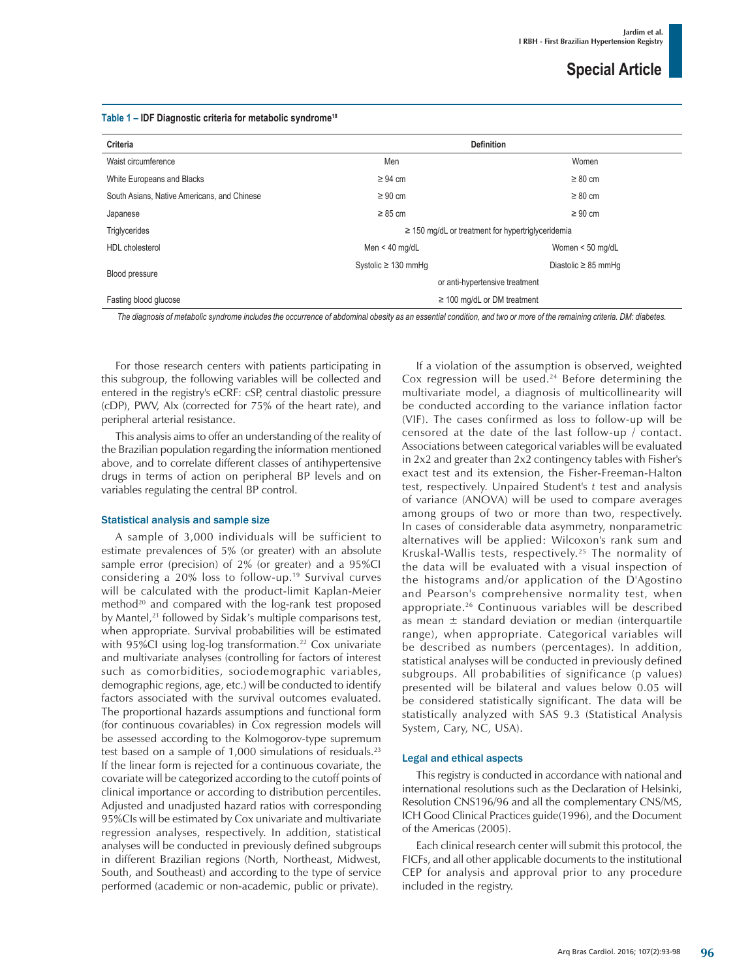|  | Table 1 – IDF Diagnostic criteria for metabolic syndrome <sup>18</sup> |  |  |  |
|--|------------------------------------------------------------------------|--|--|--|
|--|------------------------------------------------------------------------|--|--|--|

| Criteria                                    | <b>Definition</b>                                       |                          |  |
|---------------------------------------------|---------------------------------------------------------|--------------------------|--|
| Waist circumference                         | Men                                                     | Women                    |  |
| White Europeans and Blacks                  | $\geq 94$ cm                                            | $\geq 80$ cm             |  |
| South Asians, Native Americans, and Chinese | $\geq 90$ cm                                            | $\geq 80$ cm             |  |
| Japanese                                    | $\geq 85$ cm                                            | $\geq 90$ cm             |  |
| Triglycerides                               | $\geq$ 150 mg/dL or treatment for hypertrigly ceridemia |                          |  |
| HDL cholesterol                             | Men < $40 \text{ mg/dL}$                                | Women $<$ 50 mg/dL       |  |
|                                             | Systolic $\geq$ 130 mmHq                                | Diastolic $\geq$ 85 mmHq |  |
| Blood pressure                              | or anti-hypertensive treatment                          |                          |  |
| Fasting blood glucose                       | $\geq$ 100 mg/dL or DM treatment                        |                          |  |
|                                             |                                                         |                          |  |

*The diagnosis of metabolic syndrome includes the occurrence of abdominal obesity as an essential condition, and two or more of the remaining criteria. DM: diabetes.*

For those research centers with patients participating in this subgroup, the following variables will be collected and entered in the registry's eCRF: cSP, central diastolic pressure (cDP), PWV, AIx (corrected for 75% of the heart rate), and peripheral arterial resistance.

This analysis aims to offer an understanding of the reality of the Brazilian population regarding the information mentioned above, and to correlate different classes of antihypertensive drugs in terms of action on peripheral BP levels and on variables regulating the central BP control.

#### Statistical analysis and sample size

A sample of 3,000 individuals will be sufficient to estimate prevalences of 5% (or greater) with an absolute sample error (precision) of 2% (or greater) and a 95%CI considering a 20% loss to follow-up.19 Survival curves will be calculated with the product-limit Kaplan-Meier method<sup>20</sup> and compared with the log-rank test proposed by Mantel,<sup>21</sup> followed by Sidak's multiple comparisons test, when appropriate. Survival probabilities will be estimated with 95%CI using log-log transformation.<sup>22</sup> Cox univariate and multivariate analyses (controlling for factors of interest such as comorbidities, sociodemographic variables, demographic regions, age, etc.) will be conducted to identify factors associated with the survival outcomes evaluated. The proportional hazards assumptions and functional form (for continuous covariables) in Cox regression models will be assessed according to the Kolmogorov-type supremum test based on a sample of 1,000 simulations of residuals.<sup>23</sup> If the linear form is rejected for a continuous covariate, the covariate will be categorized according to the cutoff points of clinical importance or according to distribution percentiles. Adjusted and unadjusted hazard ratios with corresponding 95%CIs will be estimated by Cox univariate and multivariate regression analyses, respectively. In addition, statistical analyses will be conducted in previously defined subgroups in different Brazilian regions (North, Northeast, Midwest, South, and Southeast) and according to the type of service performed (academic or non-academic, public or private).

If a violation of the assumption is observed, weighted Cox regression will be used.<sup>24</sup> Before determining the multivariate model, a diagnosis of multicollinearity will be conducted according to the variance inflation factor (VIF). The cases confirmed as loss to follow-up will be censored at the date of the last follow-up / contact. Associations between categorical variables will be evaluated in 2x2 and greater than 2x2 contingency tables with Fisher's exact test and its extension, the Fisher-Freeman-Halton test, respectively. Unpaired Student's *t* test and analysis of variance (ANOVA) will be used to compare averages among groups of two or more than two, respectively. In cases of considerable data asymmetry, nonparametric alternatives will be applied: Wilcoxon's rank sum and Kruskal-Wallis tests, respectively.25 The normality of the data will be evaluated with a visual inspection of the histograms and/or application of the D'Agostino and Pearson's comprehensive normality test, when appropriate.26 Continuous variables will be described as mean  $\pm$  standard deviation or median (interquartile range), when appropriate. Categorical variables will be described as numbers (percentages). In addition, statistical analyses will be conducted in previously defined subgroups. All probabilities of significance (p values) presented will be bilateral and values below 0.05 will be considered statistically significant. The data will be statistically analyzed with SAS 9.3 (Statistical Analysis System, Cary, NC, USA).

#### Legal and ethical aspects

This registry is conducted in accordance with national and international resolutions such as the Declaration of Helsinki, Resolution CNS196/96 and all the complementary CNS/MS, ICH Good Clinical Practices guide(1996), and the Document of the Americas (2005).

Each clinical research center will submit this protocol, the FICFs, and all other applicable documents to the institutional CEP for analysis and approval prior to any procedure included in the registry.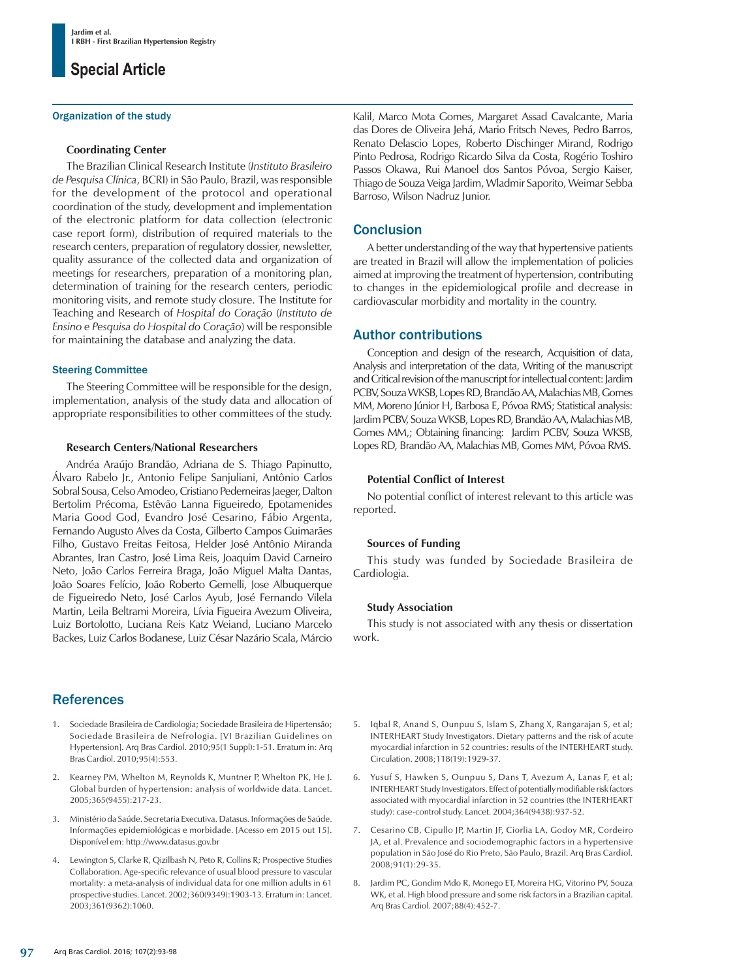#### Organization of the study

#### **Coordinating Center**

The Brazilian Clinical Research Institute (*Instituto Brasileiro de Pesquisa Clínica*, BCRI) in São Paulo, Brazil, was responsible for the development of the protocol and operational coordination of the study, development and implementation of the electronic platform for data collection (electronic case report form), distribution of required materials to the research centers, preparation of regulatory dossier, newsletter, quality assurance of the collected data and organization of meetings for researchers, preparation of a monitoring plan, determination of training for the research centers, periodic monitoring visits, and remote study closure. The Institute for Teaching and Research of *Hospital do Coração* (*Instituto de Ensino e Pesquisa do Hospital do Coração*) will be responsible for maintaining the database and analyzing the data.

#### Steering Committee

The Steering Committee will be responsible for the design, implementation, analysis of the study data and allocation of appropriate responsibilities to other committees of the study.

#### **Research Centers/National Researchers**

Andréa Araújo Brandão, Adriana de S. Thiago Papinutto, Álvaro Rabelo Jr., Antonio Felipe Sanjuliani, Antônio Carlos Sobral Sousa, Celso Amodeo, Cristiano Pederneiras Jaeger, Dalton Bertolim Précoma, Estêvão Lanna Figueiredo, Epotamenides Maria Good God, Evandro José Cesarino, Fábio Argenta, Fernando Augusto Alves da Costa, Gilberto Campos Guimarães Filho, Gustavo Freitas Feitosa, Helder José Antônio Miranda Abrantes, Iran Castro, José Lima Reis, Joaquim David Carneiro Neto, João Carlos Ferreira Braga, João Miguel Malta Dantas, João Soares Felício, João Roberto Gemelli, Jose Albuquerque de Figueiredo Neto, José Carlos Ayub, José Fernando Vilela Martin, Leila Beltrami Moreira, Lívia Figueira Avezum Oliveira, Luiz Bortolotto, Luciana Reis Katz Weiand, Luciano Marcelo Backes, Luiz Carlos Bodanese, Luiz César Nazário Scala, Márcio

## **References**

- 1. Sociedade Brasileira de Cardiologia; Sociedade Brasileira de Hipertensão; Sociedade Brasileira de Nefrologia. [VI Brazilian Guidelines on Hypertension]. Arq Bras Cardiol. 2010;95(1 Suppl):1-51. Erratum in: Arq Bras Cardiol. 2010;95(4):553.
- 2. Kearney PM, Whelton M, Reynolds K, Muntner P, Whelton PK, He J. Global burden of hypertension: analysis of worldwide data. Lancet. 2005;365(9455):217-23.
- 3. Ministério da Saúde. Secretaria Executiva. Datasus. Informações de Saúde. Informações epidemiológicas e morbidade. [Acesso em 2015 out 15]. Disponível em: http://www.datasus.gov.br
- 4. Lewington S, Clarke R, Qizilbash N, Peto R, Collins R; Prospective Studies Collaboration. Age-specific relevance of usual blood pressure to vascular mortality: a meta-analysis of individual data for one million adults in 61 prospective studies. Lancet. 2002;360(9349):1903-13. Erratum in: Lancet. 2003;361(9362):1060.

Kalil, Marco Mota Gomes, Margaret Assad Cavalcante, Maria das Dores de Oliveira Jehá, Mario Fritsch Neves, Pedro Barros, Renato Delascio Lopes, Roberto Dischinger Mirand, Rodrigo Pinto Pedrosa, Rodrigo Ricardo Silva da Costa, Rogério Toshiro Passos Okawa, Rui Manoel dos Santos Póvoa, Sergio Kaiser, Thiago de Souza Veiga Jardim, Wladmir Saporito, Weimar Sebba Barroso, Wilson Nadruz Junior.

## **Conclusion**

A better understanding of the way that hypertensive patients are treated in Brazil will allow the implementation of policies aimed at improving the treatment of hypertension, contributing to changes in the epidemiological profile and decrease in cardiovascular morbidity and mortality in the country.

## Author contributions

Conception and design of the research, Acquisition of data, Analysis and interpretation of the data, Writing of the manuscript and Critical revision of the manuscript for intellectual content: Jardim PCBV, Souza WKSB, Lopes RD, Brandão AA, Malachias MB, Gomes MM, Moreno Júnior H, Barbosa E, Póvoa RMS; Statistical analysis: Jardim PCBV, Souza WKSB, Lopes RD, Brandão AA, Malachias MB, Gomes MM,; Obtaining financing: Jardim PCBV, Souza WKSB, Lopes RD, Brandão AA, Malachias MB, Gomes MM, Póvoa RMS.

#### **Potential Conflict of Interest**

No potential conflict of interest relevant to this article was reported.

#### **Sources of Funding**

This study was funded by Sociedade Brasileira de Cardiologia.

#### **Study Association**

This study is not associated with any thesis or dissertation work.

- 5. Iqbal R, Anand S, Ounpuu S, Islam S, Zhang X, Rangarajan S, et al; INTERHEART Study Investigators. Dietary patterns and the risk of acute myocardial infarction in 52 countries: results of the INTERHEART study. Circulation. 2008;118(19):1929-37.
- 6. Yusuf S, Hawken S, Ounpuu S, Dans T, Avezum A, Lanas F, et al; INTERHEART Study Investigators. Effect of potentially modifiable risk factors associated with myocardial infarction in 52 countries (the INTERHEART study): case-control study. Lancet. 2004;364(9438):937-52.
- 7. Cesarino CB, Cipullo JP, Martin JF, Ciorlia LA, Godoy MR, Cordeiro JA, et al. Prevalence and sociodemographic factors in a hypertensive population in São José do Rio Preto, São Paulo, Brazil. Arq Bras Cardiol. 2008;91(1):29-35.
- Jardim PC, Gondim Mdo R, Monego ET, Moreira HG, Vitorino PV, Souza WK, et al. High blood pressure and some risk factors in a Brazilian capital. Arq Bras Cardiol. 2007;88(4):452-7.